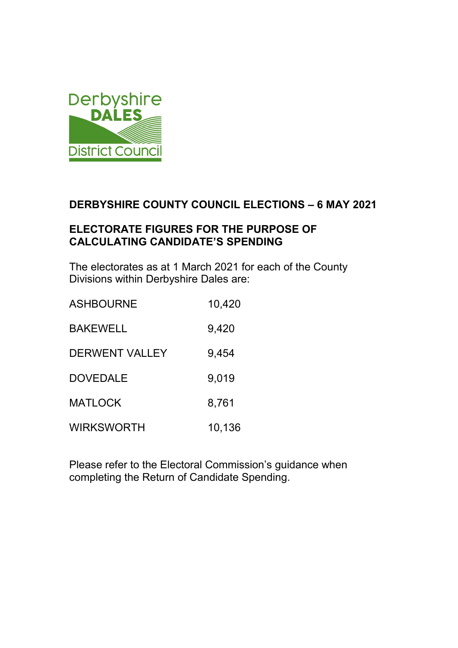

## **DERBYSHIRE COUNTY COUNCIL ELECTIONS – 6 MAY 2021**

### **ELECTORATE FIGURES FOR THE PURPOSE OF CALCULATING CANDIDATE'S SPENDING**

The electorates as at 1 March 2021 for each of the County Divisions within Derbyshire Dales are:

| <b>ASHBOURNE</b>      | 10,420 |
|-----------------------|--------|
| <b>BAKEWELL</b>       | 9,420  |
| <b>DERWENT VALLEY</b> | 9,454  |
| <b>DOVEDALE</b>       | 9,019  |
| <b>MATLOCK</b>        | 8,761  |
| <b>WIRKSWORTH</b>     | 10,136 |

Please refer to the Electoral Commission's guidance when completing the Return of Candidate Spending.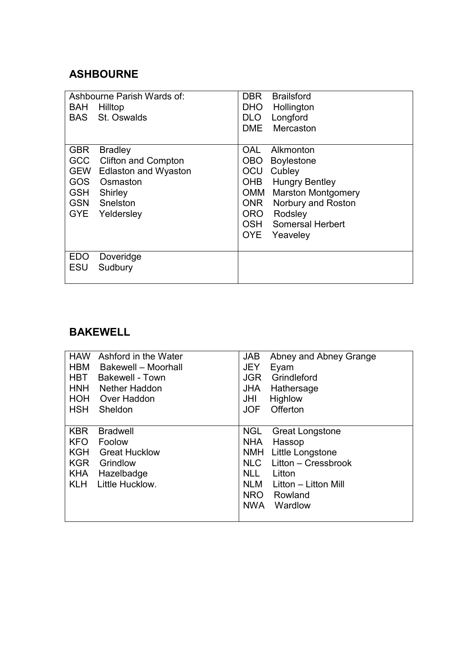# **ASHBOURNE**

| <b>BAH</b> Hilltop<br><b>BAS</b> St. Oswalds                                                                          | Ashbourne Parish Wards of:                          | DBR.<br>DLO<br>DME.                                                       | <b>Brailsford</b><br>DHO Hollington<br>Longford<br>Mercaston                                                                                                                   |
|-----------------------------------------------------------------------------------------------------------------------|-----------------------------------------------------|---------------------------------------------------------------------------|--------------------------------------------------------------------------------------------------------------------------------------------------------------------------------|
| <b>GBR</b><br><b>Bradley</b><br>GOS Osmaston<br><b>GSH</b><br>Shirley<br><b>GSN</b> Snelston<br><b>GYE</b> Yeldersley | GCC Clifton and Compton<br>GEW Edlaston and Wyaston | <b>OAL</b><br><b>OBO</b><br>OCU<br><b>OHB</b><br><b>ONR</b><br>ORO<br>OYE | Alkmonton<br><b>Boylestone</b><br>Cubley<br><b>Hungry Bentley</b><br><b>OMM</b> Marston Montgomery<br>Norbury and Roston<br>Rodsley<br><b>OSH</b> Somersal Herbert<br>Yeaveley |
| <b>EDO</b><br>Doveridge<br><b>ESU</b><br>Sudbury                                                                      |                                                     |                                                                           |                                                                                                                                                                                |

## **BAKEWELL**

| <b>HAW</b> | Ashford in the Water   | <b>JAB</b> | Abney and Abney Grange |
|------------|------------------------|------------|------------------------|
| <b>HBM</b> | Bakewell - Moorhall    | <b>JEY</b> | Eyam                   |
| <b>HBT</b> | <b>Bakewell - Town</b> | <b>JGR</b> | Grindleford            |
| <b>HNH</b> | Nether Haddon          | JHA        | Hathersage             |
|            | <b>HOH</b> Over Haddon | JHI        | <b>Highlow</b>         |
| <b>HSH</b> | Sheldon                | <b>JOF</b> | Offerton               |
|            |                        |            |                        |
| <b>KBR</b> | <b>Bradwell</b>        | <b>NGL</b> | <b>Great Longstone</b> |
| KFO        | Foolow                 | <b>NHA</b> | Hassop                 |
| KGH        | <b>Great Hucklow</b>   |            | NMH Little Longstone   |
| <b>KGR</b> | Grindlow               | NLC        | Litton – Cressbrook    |
| <b>KHA</b> | Hazelbadge             | NLL        | Litton                 |
| <b>KLH</b> | Little Hucklow.        | <b>NLM</b> | Litton – Litton Mill   |
|            |                        | <b>NRO</b> | Rowland                |
|            |                        | <b>NWA</b> | Wardlow                |
|            |                        |            |                        |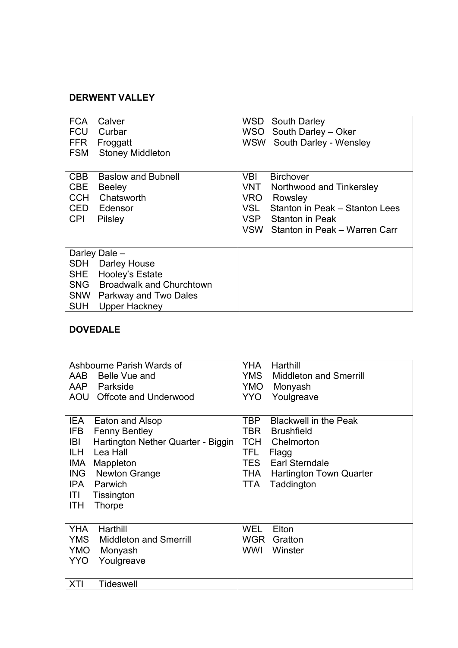### **DERWENT VALLEY**

| <b>FCA</b><br><b>FCU</b><br><b>FSM</b>                      | Calver<br>Curbar<br>FFR Froggatt<br><b>Stoney Middleton</b>             | <b>WSD</b>                                            | <b>South Darley</b><br>WSO South Darley - Oker<br>WSW South Darley - Wensley                                                                             |
|-------------------------------------------------------------|-------------------------------------------------------------------------|-------------------------------------------------------|----------------------------------------------------------------------------------------------------------------------------------------------------------|
|                                                             |                                                                         |                                                       |                                                                                                                                                          |
| <b>CBB</b><br><b>CBE</b><br><b>CCH</b><br>CED<br><b>CPI</b> | <b>Baslow and Bubnell</b><br>Beeley<br>Chatsworth<br>Edensor<br>Pilsley | VBI.<br>VNT<br><b>VRO</b><br><b>VSL</b><br><b>VSP</b> | <b>Birchover</b><br>Northwood and Tinkersley<br>Rowsley<br>Stanton in Peak – Stanton Lees<br><b>Stanton in Peak</b><br>VSW Stanton in Peak - Warren Carr |
|                                                             | Darley Dale -                                                           |                                                       |                                                                                                                                                          |
|                                                             | <b>SDH</b> Darley House                                                 |                                                       |                                                                                                                                                          |
|                                                             | SHE Hooley's Estate                                                     |                                                       |                                                                                                                                                          |
|                                                             | SNG Broadwalk and Churchtown                                            |                                                       |                                                                                                                                                          |
|                                                             | SNW Parkway and Two Dales                                               |                                                       |                                                                                                                                                          |
| <b>SUH</b>                                                  | <b>Upper Hackney</b>                                                    |                                                       |                                                                                                                                                          |

#### **DOVEDALE**

| Ashbourne Parish Wards of<br>AAB<br>Belle Vue and<br>AAP Parkside<br>AOU Offcote and Underwood                                                                                                                                                               | <b>YHA</b><br>Harthill<br><b>YMS</b><br><b>Middleton and Smerrill</b><br>YMO Monyash<br><b>YYO</b><br>Youlgreave                                                                                                         |
|--------------------------------------------------------------------------------------------------------------------------------------------------------------------------------------------------------------------------------------------------------------|--------------------------------------------------------------------------------------------------------------------------------------------------------------------------------------------------------------------------|
| <b>IEA</b><br>Eaton and Alsop<br><b>Fenny Bentley</b><br>IFB<br>IBI<br>Hartington Nether Quarter - Biggin<br><b>ILH</b><br>Lea Hall<br><b>IMA</b><br>Mappleton<br>ING<br><b>Newton Grange</b><br>IPA<br>Parwich<br>ITI<br>Tissington<br>ITH<br><b>Thorpe</b> | <b>TBP</b><br><b>Blackwell in the Peak</b><br>TBR.<br><b>Brushfield</b><br><b>TCH</b><br>Chelmorton<br>TFL<br>Flagg<br><b>Earl Sterndale</b><br>TES<br>THA<br><b>Hartington Town Quarter</b><br><b>TTA</b><br>Taddington |
| <b>YHA</b><br>Harthill<br><b>YMS</b><br><b>Middleton and Smerrill</b><br>YMO<br>Monyash<br>YYO<br>Youlgreave<br><b>XTI</b><br><b>Tideswell</b>                                                                                                               | WEL<br>Elton<br>WGR<br>Gratton<br><b>WWI</b><br>Winster                                                                                                                                                                  |